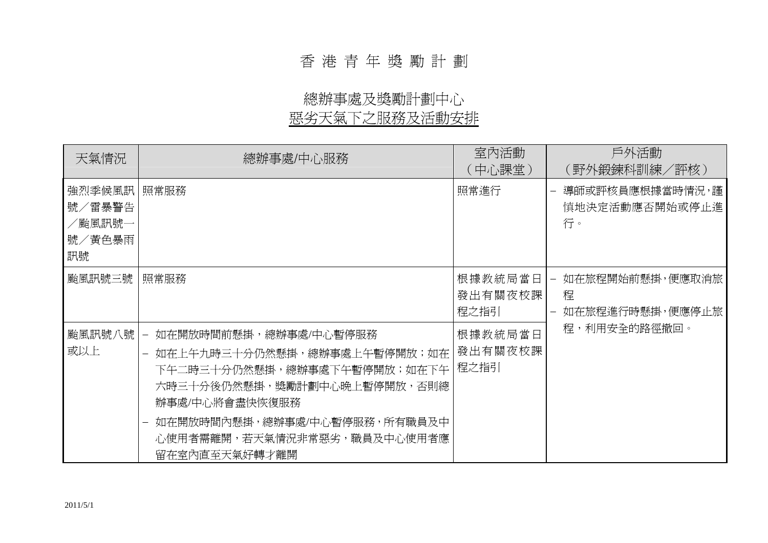# 香 港 青 年 獎 勵 計 劃

# 總辦事處及獎勵計劃中心

## 惡劣天氣下之服務及活動安排

| 天氣情況                                        | 總辦事處/中心服務                                                                                                                                                                                                                                          | 室內活動<br>(中心課堂)             | 戶外活動<br>(野外鍛鍊科訓練/評核)                    |
|---------------------------------------------|----------------------------------------------------------------------------------------------------------------------------------------------------------------------------------------------------------------------------------------------------|----------------------------|-----------------------------------------|
| 強烈季候風訊 <br>號/雷暴警告<br>/颱風訊號-<br>號/黃色暴雨<br>訊號 | 照常服務                                                                                                                                                                                                                                               | 照常進行                       | 導師或評核員應根據當時情況,謹<br>慎地決定活動應否開始或停止進<br>行。 |
| 颱風訊號三號                                      | 照常服務                                                                                                                                                                                                                                               | 根據教統局當日<br>發出有關夜校課<br>程之指引 | 如在旅程開始前懸掛,便應取消旅<br>程<br>如在旅程進行時懸掛,便應停止旅 |
| 颱風訊號八號<br>或以上                               | 如在開放時間前懸掛,總辦事處/中心暫停服務<br>$\overline{\phantom{0}}$<br>如在上午九時三十分仍然懸掛,總辦事處上午暫停開放;如在<br>下午二時三十分仍然懸掛,總辦事處下午暫停開放;如在下午  <br>六時三十分後仍然懸掛,獎勵計劃中心晩上暫停開放,否則總<br>辦事處/中心將會盡快恢復服務<br>如在開放時間內懸掛,總辦事處/中心暫停服務,所有職員及中<br>心使用者需離開,若天氣情況非常惡劣,職員及中心使用者應<br>留在室內直至天氣好轉才離開 | 根據教統局當日<br>發出有關夜校課<br>程之指引 | 程,利用安全的路徑撤回。                            |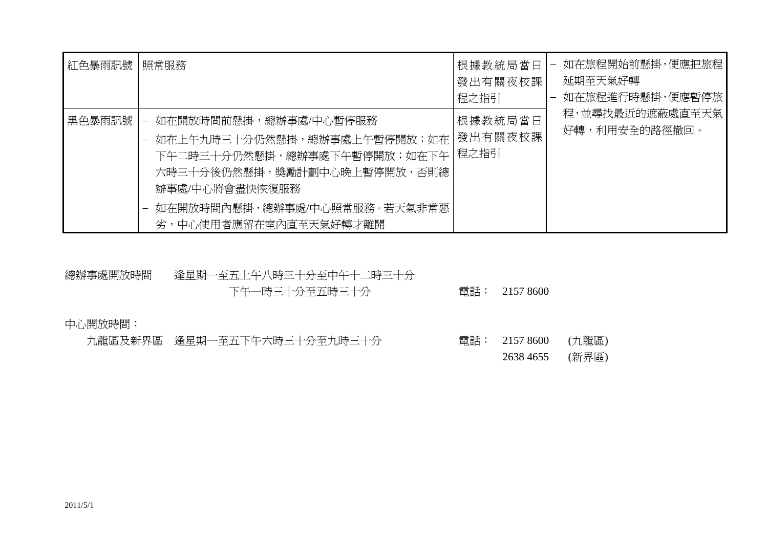| 紅色暴雨訊號 | 照常服務                                                                                                                                                                                                                        | 根據教統局當日<br>發出有關夜校課<br>程之指引        | 如在旅程開始前懸掛,便應把旅程 <br>$\overline{\phantom{m}}$<br>延期至天氣好轉<br>如在旅程進行時懸掛,便應暫停旅」 |
|--------|-----------------------------------------------------------------------------------------------------------------------------------------------------------------------------------------------------------------------------|-----------------------------------|-----------------------------------------------------------------------------|
| 黑色暴雨訊號 | 如在開放時間前懸掛,總辦事處/中心暫停服務<br>$\overline{\phantom{m}}$<br>如在上午九時三十分仍然懸掛,總辦事處上午暫停開放;如在<br>下午二時三十分仍然懸掛,總辦事處下午暫停開放;如在下午  <br>六時三十分後仍然懸掛,獎勵計劃中心晩上暫停開放,否則總<br>辦事處/中心將會盡快恢復服務<br>如在開放時間內懸掛,總辦事處/中心照常服務。若天氣非常惡<br>劣,中心使用者應留在室內直至天氣好轉才離開 | 根據教統局當日<br><b>發出有關夜校課</b><br>程之指引 | 程,並尋找最近的遮蔽處直至天氣<br>好轉,利用安全的路徑撤回。                                            |

### 總辦事處開放時間 逢星期一至五上午八時三十分至中午十二時三十分 下午一時三十分至五時三十分 電話: 2157 8600

中心開放時間:

|  | 九龍區及新界區 逢星期一至五下午六時三十分至九時三十分 |  | 電話: 2157 8600 (九龍區) |  |
|--|-----------------------------|--|---------------------|--|
|  |                             |  | 2638 4655 (新界區)     |  |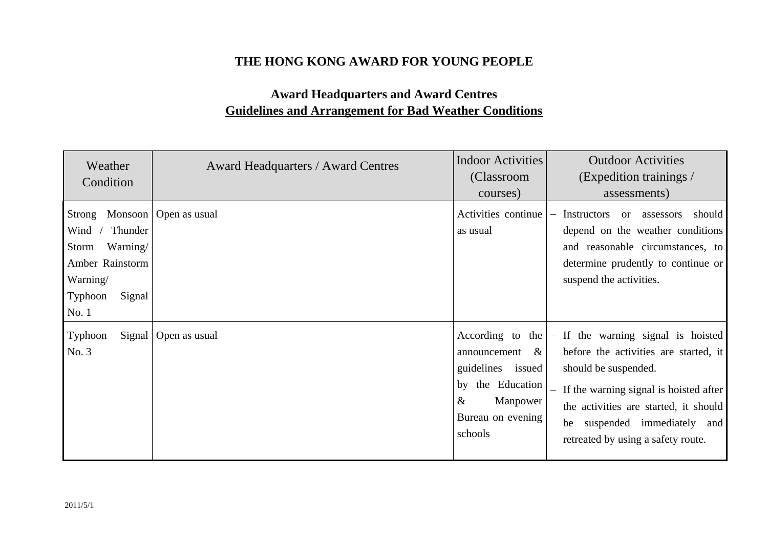#### **THE HONG KONG AWARD FOR YOUNG PEOPLE**

### **Award Headquarters and Award Centres Guidelines and Arrangement for Bad Weather Conditions**

| Weather<br>Condition                                                                                        | <b>Award Headquarters / Award Centres</b> | <b>Indoor Activities</b><br>(Classroom<br>courses)                                                                   | <b>Outdoor Activities</b><br>(Expedition trainings /<br>assessments)                                                                                                                                                                                                               |
|-------------------------------------------------------------------------------------------------------------|-------------------------------------------|----------------------------------------------------------------------------------------------------------------------|------------------------------------------------------------------------------------------------------------------------------------------------------------------------------------------------------------------------------------------------------------------------------------|
| Strong<br>Wind<br>Thunder<br>Warning/<br>Storm<br>Amber Rainstorm<br>Warning/<br>Typhoon<br>Signal<br>No. 1 | Monsoon   Open as usual                   | Activities continue<br>as usual                                                                                      | Instructors<br>should<br>or assessors<br>$\qquad \qquad -$<br>depend on the weather conditions<br>and reasonable circumstances, to<br>determine prudently to continue or<br>suspend the activities.                                                                                |
| Typhoon<br>No. 3                                                                                            | Signal   Open as usual                    | announcement<br>$\&$<br>guidelines issued<br>the Education<br>by<br>$\&$<br>Manpower<br>Bureau on evening<br>schools | According to the $ -$ If the warning signal is hoisted<br>before the activities are started, it<br>should be suspended.<br>- If the warning signal is hoisted after<br>the activities are started, it should<br>be suspended immediately and<br>retreated by using a safety route. |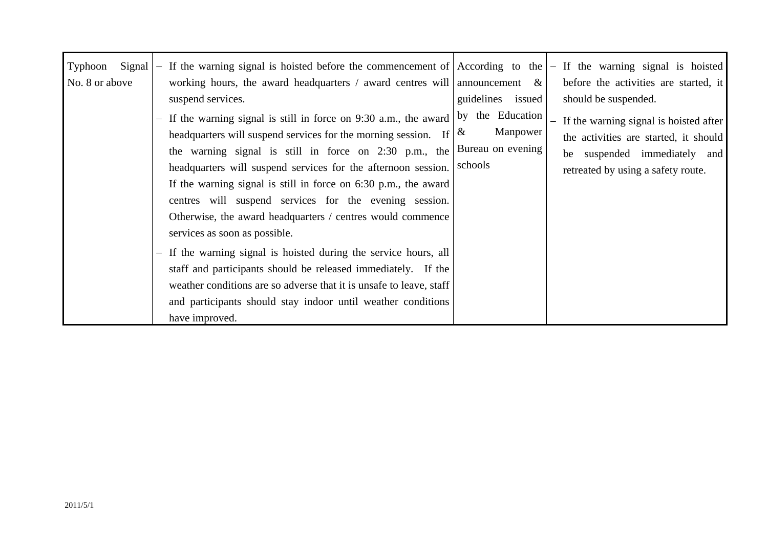| Signal<br>Typhoon<br>No. 8 or above | - If the warning signal is hoisted before the commencement of According to the $ -$ If the warning signal is hoisted<br>working hours, the award headquarters / award centres will announcement &<br>suspend services.<br>- If the warning signal is still in force on 9:30 a.m., the award<br>headquarters will suspend services for the morning session. If<br>the warning signal is still in force on $2:30$ p.m., the<br>headquarters will suspend services for the afternoon session.<br>If the warning signal is still in force on $6:30$ p.m., the award<br>centres will suspend services for the evening session.<br>Otherwise, the award headquarters / centres would commence<br>services as soon as possible.<br>- If the warning signal is hoisted during the service hours, all<br>staff and participants should be released immediately. If the<br>weather conditions are so adverse that it is unsafe to leave, staff<br>and participants should stay indoor until weather conditions<br>have improved. | guidelines<br>issued<br>by the Education<br>Manpower<br>&<br>Bureau on evening<br>schools | before the activities are started, it<br>should be suspended.<br>- If the warning signal is hoisted after<br>the activities are started, it should<br>be suspended immediately and<br>retreated by using a safety route. |
|-------------------------------------|------------------------------------------------------------------------------------------------------------------------------------------------------------------------------------------------------------------------------------------------------------------------------------------------------------------------------------------------------------------------------------------------------------------------------------------------------------------------------------------------------------------------------------------------------------------------------------------------------------------------------------------------------------------------------------------------------------------------------------------------------------------------------------------------------------------------------------------------------------------------------------------------------------------------------------------------------------------------------------------------------------------------|-------------------------------------------------------------------------------------------|--------------------------------------------------------------------------------------------------------------------------------------------------------------------------------------------------------------------------|
|-------------------------------------|------------------------------------------------------------------------------------------------------------------------------------------------------------------------------------------------------------------------------------------------------------------------------------------------------------------------------------------------------------------------------------------------------------------------------------------------------------------------------------------------------------------------------------------------------------------------------------------------------------------------------------------------------------------------------------------------------------------------------------------------------------------------------------------------------------------------------------------------------------------------------------------------------------------------------------------------------------------------------------------------------------------------|-------------------------------------------------------------------------------------------|--------------------------------------------------------------------------------------------------------------------------------------------------------------------------------------------------------------------------|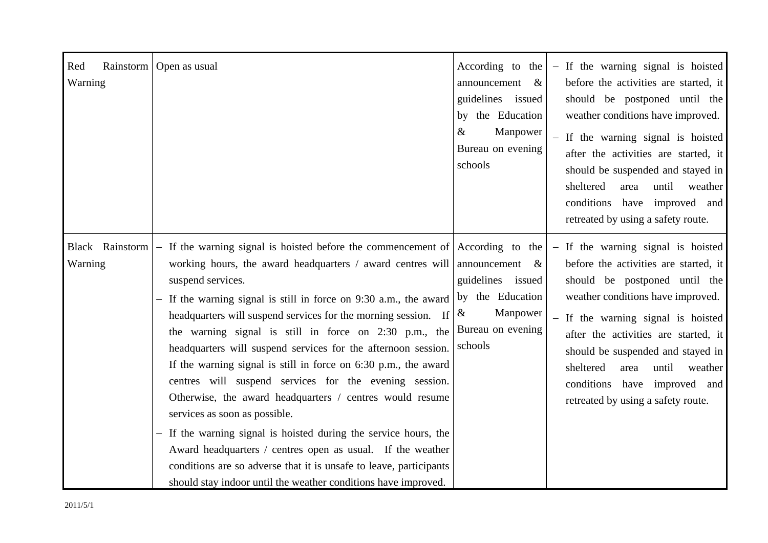| Red<br>Rainstorm<br>Warning | Open as usual                                                                                                                                                                                                                                                                                                                                                                                                                                                                                                                                                                                                                                                                                                                                                                                                                                                                                                                                 | According to the<br>announcement<br>$\&$<br>guidelines issued<br>by the Education<br>$\&$<br>Manpower<br>Bureau on evening<br>schools | - If the warning signal is hoisted<br>before the activities are started, it<br>should be postponed until the<br>weather conditions have improved.<br>If the warning signal is hoisted<br>$\equiv$<br>after the activities are started, it<br>should be suspended and stayed in<br>sheltered<br>until<br>area<br>weather<br>conditions<br>have improved and<br>retreated by using a safety route. |
|-----------------------------|-----------------------------------------------------------------------------------------------------------------------------------------------------------------------------------------------------------------------------------------------------------------------------------------------------------------------------------------------------------------------------------------------------------------------------------------------------------------------------------------------------------------------------------------------------------------------------------------------------------------------------------------------------------------------------------------------------------------------------------------------------------------------------------------------------------------------------------------------------------------------------------------------------------------------------------------------|---------------------------------------------------------------------------------------------------------------------------------------|--------------------------------------------------------------------------------------------------------------------------------------------------------------------------------------------------------------------------------------------------------------------------------------------------------------------------------------------------------------------------------------------------|
| Black Rainstorm<br>Warning  | - If the warning signal is hoisted before the commencement of $ $ According to the<br>working hours, the award headquarters / award centres will<br>suspend services.<br>$-$ If the warning signal is still in force on 9:30 a.m., the award<br>headquarters will suspend services for the morning session. If<br>the warning signal is still in force on 2:30 p.m., the<br>headquarters will suspend services for the afternoon session.<br>If the warning signal is still in force on $6:30$ p.m., the award<br>centres will suspend services for the evening session.<br>Otherwise, the award headquarters / centres would resume<br>services as soon as possible.<br>If the warning signal is hoisted during the service hours, the<br>Award headquarters / centres open as usual. If the weather<br>conditions are so adverse that it is unsafe to leave, participants<br>should stay indoor until the weather conditions have improved. | announcement &<br>guidelines issued<br>by the Education<br>Manpower<br>$\&$<br>Bureau on evening<br>schools                           | - If the warning signal is hoisted<br>before the activities are started, it<br>should be postponed until the<br>weather conditions have improved.<br>- If the warning signal is hoisted<br>after the activities are started, it<br>should be suspended and stayed in<br>sheltered<br>until<br>area<br>weather<br>conditions have improved and<br>retreated by using a safety route.              |